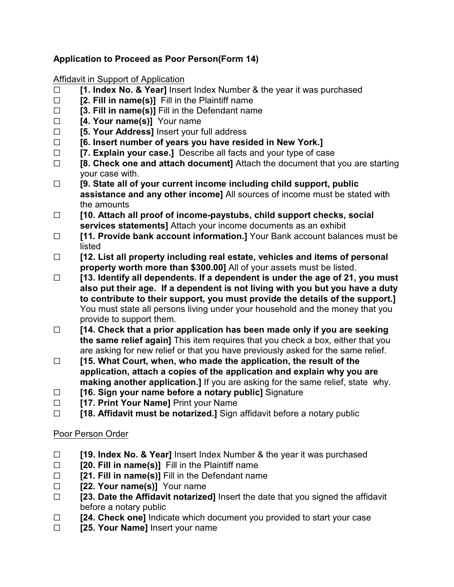## **Application to Proceed as Poor Person(Form 14)**

Affidavit in Support of Application

- G **[1. Index No. & Year]** Insert Index Number & the year it was purchased
- $\Box$  **[2. Fill in name(s)]** Fill in the Plaintiff name
- $\Box$  **[3. Fill in name(s)]** Fill in the Defendant name
- □ **[4. Your name(s)]** Your name
- G **[5. Your Address]** Insert your full address
- G **[6. Insert number of years you have resided in New York.]**
- G **[7. Explain your case.]** Describe all facts and your type of case
- □ **[8. Check one and attach document]** Attach the document that you are starting your case with.
- G **[9. State all of your current income including child support, public assistance and any other income]** All sources of income must be stated with the amounts
- G **[10. Attach all proof of income-paystubs, child support checks, social services statements]** Attach your income documents as an exhibit
- □ **[11. Provide bank account information.]** Your Bank account balances must be listed
- G **[12. List all property including real estate, vehicles and items of personal property worth more than \$300.00]** All of your assets must be listed.
- G **[13. Identify all dependents. If a dependent is under the age of 21, you must also put their age. If a dependent is not living with you but you have a duty to contribute to their support, you must provide the details of the support.]** You must state all persons living under your household and the money that you provide to support them.
- G **[14. Check that a prior application has been made only if you are seeking the same relief again]** This item requires that you check a box, either that you are asking for new relief or that you have previously asked for the same relief.
- G **[15. What Court, when, who made the application, the result of the application, attach a copies of the application and explain why you are making another application.]** If you are asking for the same relief, state why.
- □ **[16. Sign your name before a notary public]** Signature
- **EXECUTE:** [17. Print Your Name] Print your Name
- □ **[18. Affidavit must be notarized.]** Sign affidavit before a notary public

## Poor Person Order

- G **[19. Index No. & Year]** Insert Index Number & the year it was purchased
- □ **[20. Fill in name(s)]** Fill in the Plaintiff name
- $\Box$  **[21. Fill in name(s)]** Fill in the Defendant name
- □ **[22. Your name(s)]** Your name
- □ **[23. Date the Affidavit notarized]** Insert the date that you signed the affidavit before a notary public
- □ **[24. Check one]** Indicate which document you provided to start your case
- **Example 125. Your Name]** Insert your name